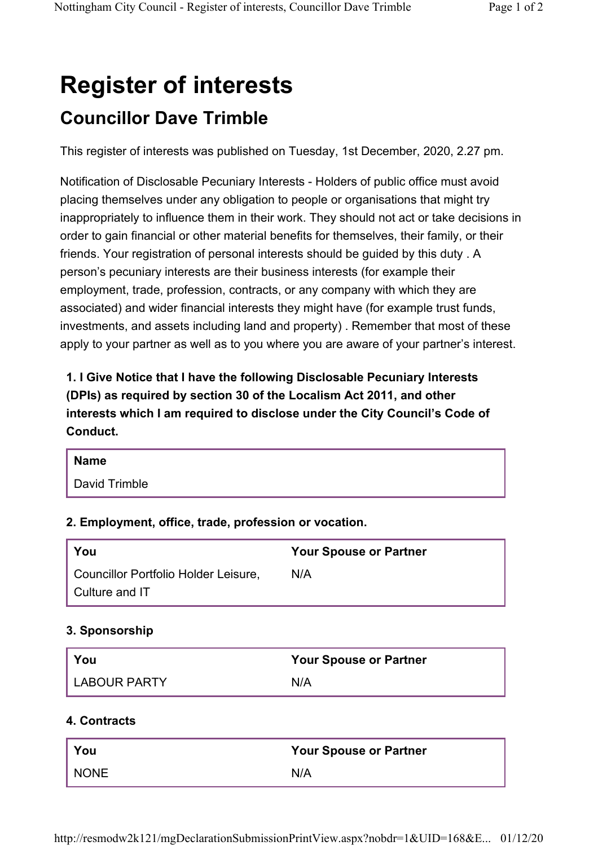# **Register of interests Councillor Dave Trimble**

This register of interests was published on Tuesday, 1st December, 2020, 2.27 pm.

Notification of Disclosable Pecuniary Interests - Holders of public office must avoid placing themselves under any obligation to people or organisations that might try inappropriately to influence them in their work. They should not act or take decisions in order to gain financial or other material benefits for themselves, their family, or their friends. Your registration of personal interests should be guided by this duty . A person's pecuniary interests are their business interests (for example their employment, trade, profession, contracts, or any company with which they are associated) and wider financial interests they might have (for example trust funds, investments, and assets including land and property) . Remember that most of these apply to your partner as well as to you where you are aware of your partner's interest.

**1. I Give Notice that I have the following Disclosable Pecuniary Interests (DPIs) as required by section 30 of the Localism Act 2011, and other interests which I am required to disclose under the City Council's Code of Conduct.** 

| <b>Name</b>   |
|---------------|
| David Trimble |

## **2. Employment, office, trade, profession or vocation.**

| <b>You</b>                           | <b>Your Spouse or Partner</b> |
|--------------------------------------|-------------------------------|
| Councillor Portfolio Holder Leisure. | N/A                           |
| Culture and IT                       |                               |

# **3. Sponsorship**

| You            | <b>Your Spouse or Partner</b> |
|----------------|-------------------------------|
| I LABOUR PARTY | N/A                           |

## **4. Contracts**

| You  | <b>Your Spouse or Partner</b> |
|------|-------------------------------|
| NONE | N/A                           |